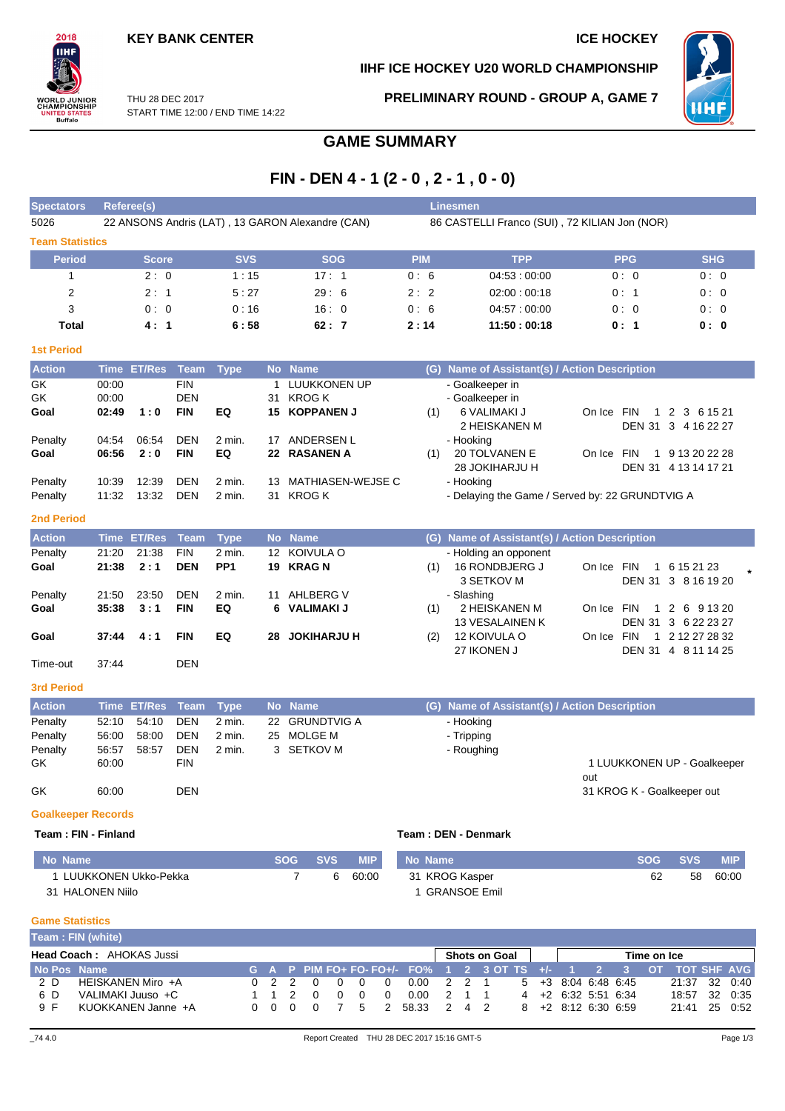

# **IIHF ICE HOCKEY U20 WORLD CHAMPIONSHIP**



THU 28 DEC 2017 START TIME 12:00 / END TIME 14:22 **PRELIMINARY ROUND - GROUP A, GAME 7**

# **GAME SUMMARY**

# **FIN - DEN 4 - 1 (2 - 0 , 2 - 1 , 0 - 0)**

| <b>Spectators</b>      | Referee(s)                                       |            |            | <b>Linesmen</b> |                                               |            |            |
|------------------------|--------------------------------------------------|------------|------------|-----------------|-----------------------------------------------|------------|------------|
| 5026                   | 22 ANSONS Andris (LAT), 13 GARON Alexandre (CAN) |            |            |                 | 86 CASTELLI Franco (SUI), 72 KILIAN Jon (NOR) |            |            |
| <b>Team Statistics</b> |                                                  |            |            |                 |                                               |            |            |
| <b>Period</b>          | <b>Score</b>                                     | <b>SVS</b> | <b>SOG</b> | <b>PIM</b>      | <b>TPP</b>                                    | <b>PPG</b> | <b>SHG</b> |
|                        | 2:0                                              | 1:15       | 17:1       | 0:6             | 04:53:00:00                                   | 0:0        | 0:0        |
| 2                      | 2:1                                              | 5:27       | 29:6       | 2:2             | 02:00:00:18                                   | 0:1        | 0:0        |
| 3                      | 0:0                                              | 0:16       | 16:0       | 0:6             | 04.57:00.00                                   | 0:0        | 0:0        |
| Total                  | 4:1                                              | 6:58       | 62:7       | 2:14            | 11:50:00:18                                   | 0:1        | 0: 0       |
| <b>1st Period</b>      |                                                  |            |            |                 |                                               |            |            |

| <b>Action</b> |       | Time ET/Res Team |            | Type              |    | No Name           |     | (G) Name of Assistant(s) / Action Description   |                      |  |               |  |
|---------------|-------|------------------|------------|-------------------|----|-------------------|-----|-------------------------------------------------|----------------------|--|---------------|--|
| GK            | 00:00 |                  | <b>FIN</b> |                   |    | LUUKKONEN UP      |     | - Goalkeeper in                                 |                      |  |               |  |
| GK.           | 00:00 |                  | <b>DEN</b> |                   | 31 | KROG K            |     | - Goalkeeper in                                 |                      |  |               |  |
| Goal          | 02:49 | 1:0              | <b>FIN</b> | EQ                |    | 15 KOPPANEN J     | (1) | 6 VALIMAKI J<br>On Ice                          | <b>FIN</b>           |  | 1 2 3 6 15 21 |  |
|               |       |                  |            |                   |    |                   |     | 2 HEISKANEN M                                   | DEN 31 3 4 16 22 27  |  |               |  |
| Penalty       | 04:54 | 06:54            | <b>DEN</b> | 2 min.            | 17 | ANDERSEN L        |     | - Hooking                                       |                      |  |               |  |
| Goal          | 06:56 | 2:0              | <b>FIN</b> | EQ                |    | 22 RASANEN A      | (1) | <b>20 TOLVANEN E</b><br>On Ice                  | <b>FIN</b><br>1      |  | 9 13 20 22 28 |  |
|               |       |                  |            |                   |    |                   |     | 28 JOKIHARJU H                                  | DEN 31 4 13 14 17 21 |  |               |  |
| Penalty       | 10:39 | 12:39            | <b>DEN</b> | 2 min.            | 13 | MATHIASEN-WEJSE C |     | - Hooking                                       |                      |  |               |  |
| Penalty       | 11:32 | 13:32            | <b>DEN</b> | $2 \text{ min}$ . | 31 | KROG K            |     | - Delaying the Game / Served by: 22 GRUNDTVIG A |                      |  |               |  |

### **2nd Period**

| <b>Action</b> |       | Time ET/Res Team |            | Type            |     | No Name            |     | (G) Name of Assistant(s) / Action Description |            |            |                                        |  |
|---------------|-------|------------------|------------|-----------------|-----|--------------------|-----|-----------------------------------------------|------------|------------|----------------------------------------|--|
| Penalty       | 21:20 | 21:38            | <b>FIN</b> | 2 min.          |     | 12 KOIVULA O       |     | - Holding an opponent                         |            |            |                                        |  |
| Goal          | 21:38 | 2:1              | <b>DEN</b> | PP <sub>1</sub> |     | 19 KRAGN           | (1) | 16 RONDBJERG J<br>3 SETKOV M                  | On Ice FIN |            | 1 6 15 21 23<br>DEN 31 3 8 16 19 20    |  |
| Penalty       | 21:50 | 23:50            | <b>DEN</b> | 2 min.          | 11  | AHLBERG V          |     | - Slashing                                    |            |            |                                        |  |
| Goal          | 35:38 | 3:1              | <b>FIN</b> | EQ              |     | 6 VALIMAKI J       | (1) | 2 HEISKANEN M<br><b>13 VESALAINEN K</b>       | On Ice FIN |            | 1 2 6 9 13 20<br>DEN 31 3 6 22 23 27   |  |
| Goal          | 37:44 | 4:1              | <b>FIN</b> | EQ              | 28. | <b>JOKIHARJU H</b> | (2) | 12 KOIVULA O<br>27 IKONEN J                   | On Ice     | <b>FIN</b> | 1 2 12 27 28 32<br>DEN 31 4 8 11 14 25 |  |
| Time-out      | 37:44 |                  | DEN        |                 |     |                    |     |                                               |            |            |                                        |  |

### **3rd Period**

| <b>Action</b> |       | Time ET/Res Team Type |            |        | No Name        | (G) Name of Assistant(s) / Action Description |                                   |
|---------------|-------|-----------------------|------------|--------|----------------|-----------------------------------------------|-----------------------------------|
| Penalty       | 52:10 | 54:10                 | DEN        | 2 min. | 22 GRUNDTVIG A | - Hooking                                     |                                   |
| Penalty       | 56:00 | 58:00                 | DEN        | 2 min. | 25 MOLGE M     | - Tripping                                    |                                   |
| Penalty       | 56:57 | 58:57                 | <b>DEN</b> | 2 min. | 3 SETKOV M     | - Roughing                                    |                                   |
| GK.           | 60:00 |                       | <b>FIN</b> |        |                |                                               | 1 LUUKKONEN UP - Goalkeeper       |
| GK            | 60:00 |                       | <b>DEN</b> |        |                |                                               | out<br>31 KROG K - Goalkeeper out |

### **Goalkeeper Records**

### **Team : FIN - Finland Team : DEN - Denmark**

| No Name              | <b>SOG</b> | <b>SVS</b> | <b>MIP</b> | No Name             |    | SOG SVS | <b>MIP</b> |
|----------------------|------------|------------|------------|---------------------|----|---------|------------|
| LUUKKONEN Ukko-Pekka |            | 6          | 60:00      | 31 KROG Kasper      | 62 | 58      | 60:00      |
| 31 HALONEN Niilo     |            |            |            | <b>GRANSOE Emil</b> |    |         |            |

### **Game Statistics**

|                                                                 | Team: FIN (white)  |  |       |  |      |                   |          |  |                                                                 |  |       |  |  |                                       |               |  |  |
|-----------------------------------------------------------------|--------------------|--|-------|--|------|-------------------|----------|--|-----------------------------------------------------------------|--|-------|--|--|---------------------------------------|---------------|--|--|
| <b>Head Coach: AHOKAS Jussi</b><br>Shots on Goal<br>Time on Ice |                    |  |       |  |      |                   |          |  |                                                                 |  |       |  |  |                                       |               |  |  |
| No Pos Name                                                     |                    |  |       |  |      |                   |          |  | G A P PIM FO+ FO-FO+/- FO% 1 2 3 OT TS +/- 1 2 3 OT TOT SHF AVG |  |       |  |  |                                       |               |  |  |
| 2 D                                                             | HEISKANEN Miro +A  |  |       |  | 0220 | $\cdot$ 0 $\cdot$ | റ        |  | 0.00 2 2 1                                                      |  |       |  |  | $5 + 3 + 3 + 6 \cdot 48 + 6 \cdot 45$ | 21:37 32 0:40 |  |  |
| 6 D                                                             | VALIMAKI Juuso +C  |  | 1 1 2 |  |      | $\Omega$          | $\Omega$ |  | 0.00                                                            |  | 2 1 1 |  |  | $4 + 2 + 6:32 + 5:51 + 6:34$          | 18:57 32 0:35 |  |  |
| 9 F                                                             | KUOKKANEN Janne +A |  | 000   |  |      | $\overline{7}$    | .5       |  | 58.33 2 4 2                                                     |  |       |  |  | $8 + 2$ 8:12 6:30 6:59                | 21:41 25 0:52 |  |  |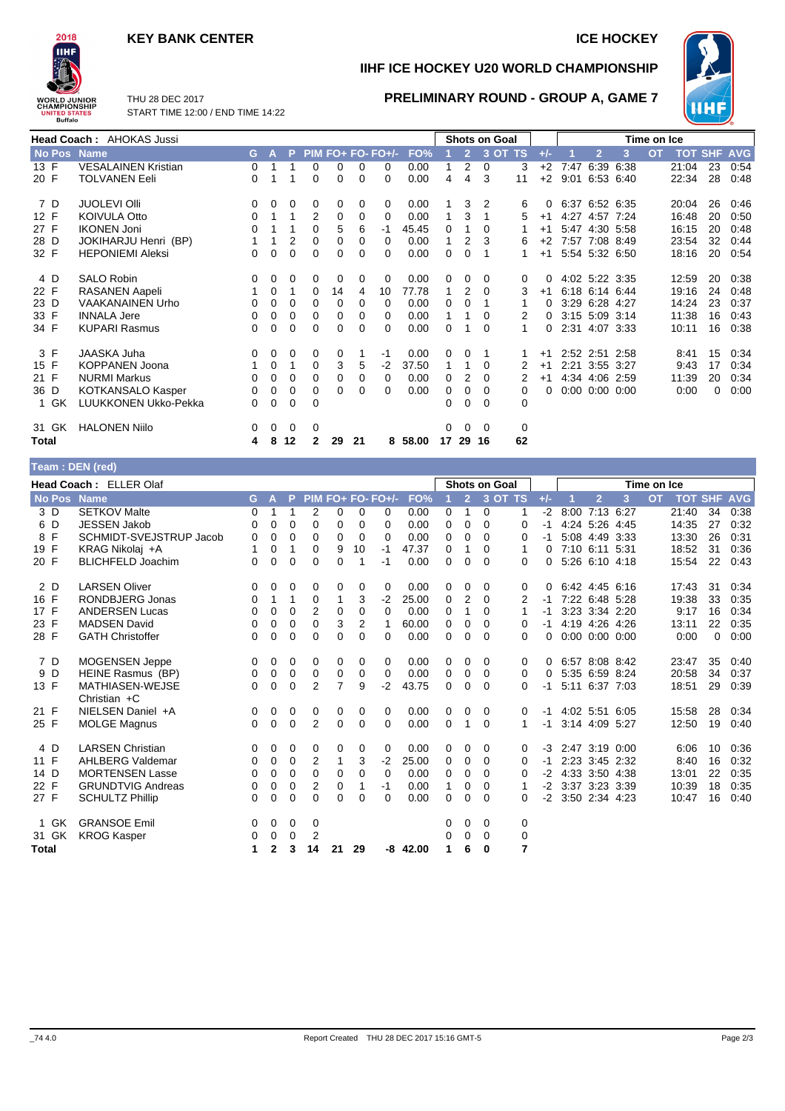## **KEY BANK CENTER ICE HOCKEY**



**IIHF ICE HOCKEY U20 WORLD CHAMPIONSHIP**

**PRELIMINARY ROUND - GROUP A, GAME 7**



THU 28 DEC 2017 START TIME 12:00 / END TIME 14:22

|                  | Head Coach: AHOKAS Jussi   |          |          |                |              |          |          |                     |         |    |                |          | <b>Shots on Goal</b> | Time on Ice |      |                |                      |           |       |                |            |
|------------------|----------------------------|----------|----------|----------------|--------------|----------|----------|---------------------|---------|----|----------------|----------|----------------------|-------------|------|----------------|----------------------|-----------|-------|----------------|------------|
| No Pos Name      |                            | G.       | A        | P.             |              |          |          | $PIM FO+ FO- FO+/-$ | FO%     |    | $\overline{2}$ |          | 3 OT TS              | $+/-$       |      | $\overline{2}$ | 3                    | <b>OT</b> |       | <b>TOT SHF</b> | <b>AVG</b> |
| 13 F             | <b>VESALAINEN Kristian</b> | 0        |          |                | $\Omega$     | 0        | $\Omega$ | 0                   | 0.00    |    | 2              | $\Omega$ | 3                    | $+2$        |      |                | 7:47 6:39 6:38       |           | 21:04 | 23             | 0:54       |
| 20 F             | <b>TOLVANEN Eeli</b>       | $\Omega$ |          |                | $\mathbf 0$  | 0        | 0        | $\Omega$            | 0.00    | 4  | 4              | 3        | 11                   | $+2$        | 9:01 |                | 6:53 6:40            |           | 22:34 | 28             | 0:48       |
| 7 D              | <b>JUOLEVI OIII</b>        | 0        | $\Omega$ | $\Omega$       | 0            | 0        | 0        | 0                   | 0.00    |    | 3              | 2        | 6                    | 0           |      |                | 6:37 6:52 6:35       |           | 20:04 | 26             | 0:46       |
| 12 F             | <b>KOIVULA Otto</b>        | 0        |          |                | 2            | 0        | 0        | 0                   | 0.00    |    | 3              |          | 5                    | $+1$        |      |                | 4:27 4:57 7:24       |           | 16:48 | 20             | 0:50       |
| 27 F             | <b>IKONEN Joni</b>         | 0        |          |                | 0            | 5        | 6        | -1                  | 45.45   | 0  |                | 0        |                      | $+1$        |      |                | 5:47 4:30 5:58       |           | 16:15 | 20             | 0:48       |
| 28 D             | JOKIHARJU Henri (BP)       |          |          | $\overline{2}$ | 0            | 0        | 0        | 0                   | 0.00    |    | 2              | 3        | 6                    | $+2$        |      |                | 7:57 7:08 8:49       |           | 23:54 | 32             | 0:44       |
| 32 F             | <b>HEPONIEMI Aleksi</b>    | 0        | $\Omega$ | $\Omega$       | 0            | $\Omega$ | 0        | 0                   | 0.00    | 0  | 0              |          | 1                    | $+1$        |      |                | 5:54 5:32 6:50       |           | 18:16 | 20             | 0:54       |
| 4 D              | <b>SALO Robin</b>          | 0        | 0        | 0              | 0            | 0        | 0        | 0                   | 0.00    | 0  | 0              | 0        | 0                    |             |      |                | 4:02 5:22 3:35       |           | 12:59 | 20             | 0:38       |
| 22 F             | <b>RASANEN Aapeli</b>      |          | 0        |                | $\Omega$     | 14       | 4        | 10                  | 77.78   |    | 2              | $\Omega$ | 3                    | $+1$        |      |                | 6:18 6:14 6:44       |           | 19:16 | 24             | 0:48       |
| 23 D             | <b>VAAKANAINEN Urho</b>    | 0        | 0        | 0              | 0            | 0        | 0        | 0                   | 0.00    | 0  | 0              |          |                      |             |      |                | 3:29 6:28 4:27       |           | 14:24 | 23             | 0:37       |
| 33 F             | <b>INNALA Jere</b>         | 0        | 0        | $\mathbf 0$    | 0            | 0        | 0        | 0                   | 0.00    |    |                | 0        | 2                    |             |      |                | 3:15 5:09 3:14       |           | 11:38 | 16             | 0:43       |
| 34 F             | <b>KUPARI Rasmus</b>       | 0        | $\Omega$ | $\Omega$       | 0            | $\Omega$ | 0        | 0                   | 0.00    | 0  |                | $\Omega$ |                      | 0           |      |                | 2:31 4:07 3:33       |           | 10:11 | 16             | 0:38       |
| 3 F              | JAASKA Juha                | 0        | 0        | 0              | 0            | 0        |          | $-1$                | 0.00    | 0  | $\Omega$       |          |                      | $+1$        |      |                | 2:52 2:51 2:58       |           | 8:41  | 15             | 0:34       |
| 15 F             | <b>KOPPANEN Joona</b>      |          | 0        |                | $\mathbf 0$  | 3        | 5        | $-2$                | 37.50   |    |                | $\Omega$ |                      | $+1$        |      |                | 2:21 3:55 3:27       |           | 9:43  | 17             | 0:34       |
| 21 F             | <b>NURMI Markus</b>        | $\Omega$ | $\Omega$ | $\Omega$       | $\Omega$     | 0        | 0        | 0                   | 0.00    | 0  | 2              | $\Omega$ | 2                    | $+1$        |      |                | 4:34 4:06 2:59       |           | 11:39 | 20             | 0:34       |
| 36 D             | KOTKANSALO Kasper          | 0        | 0        | 0              | 0            | 0        | 0        | 0                   | 0.00    | 0  | 0              | 0        | 0                    | 0           |      |                | $0:00$ $0:00$ $0:00$ |           | 0:00  | 0              | 0:00       |
| GK<br>1          | LUUKKONEN Ukko-Pekka       | 0        | 0        | $\Omega$       | $\Omega$     |          |          |                     |         | 0  | 0              | 0        | $\Omega$             |             |      |                |                      |           |       |                |            |
| 31 GK            | <b>HALONEN Niilo</b>       | 0        | 0        | 0              | 0            |          |          |                     |         | 0  | $\Omega$       | $\Omega$ | 0                    |             |      |                |                      |           |       |                |            |
| Total            |                            | 4        | 8        | 12             | $\mathbf{2}$ | 29       | 21       |                     | 8 58.00 | 17 | 29             | 16       | 62                   |             |      |                |                      |           |       |                |            |
| Team · DFN (red) |                            |          |          |                |              |          |          |                     |         |    |                |          |                      |             |      |                |                      |           |       |                |            |

| 199111119111111001 |                                   |          |              |          |                |              |          |                   |            |              |                |                      |          |          |                     |                      |   |             |                    |    |      |
|--------------------|-----------------------------------|----------|--------------|----------|----------------|--------------|----------|-------------------|------------|--------------|----------------|----------------------|----------|----------|---------------------|----------------------|---|-------------|--------------------|----|------|
|                    | Head Coach: ELLER Olaf            |          |              |          |                |              |          |                   |            |              |                | <b>Shots on Goal</b> |          |          |                     |                      |   | Time on Ice |                    |    |      |
| No Pos Name        |                                   | G.       | $\mathsf{A}$ | P        |                |              |          | PIM FO+ FO- FO+/- | FO%        |              | 2 <sup>7</sup> | $3$ OT TS            |          | $+/-$    |                     | $\overline{2}$       | 3 | <b>OT</b>   | <b>TOT SHF AVG</b> |    |      |
| 3 D                | <b>SETKOV Malte</b>               | 0        | 1            | 1        | 2              | 0            | $\Omega$ | 0                 | 0.00       | 0            | 1              | 0                    | 1        | $-2$     |                     | 8:00 7:13 6:27       |   |             | 21:40              | 34 | 0:38 |
| 6 D                | <b>JESSEN Jakob</b>               | 0        | 0            | $\Omega$ | 0              | 0            | $\Omega$ | $\Omega$          | 0.00       | 0            | $\Omega$       | 0                    | 0        | $-1$     |                     | 4:24 5:26 4:45       |   |             | 14:35              | 27 | 0:32 |
| 8 F                | SCHMIDT-SVEJSTRUP Jacob           | 0        | 0            | $\Omega$ | 0              | $\Omega$     | $\Omega$ | $\Omega$          | 0.00       | $\Omega$     | $\Omega$       | $\Omega$             | 0        | -1       |                     | 5:08 4:49 3:33       |   |             | 13:30              | 26 | 0:31 |
| 19 F               | KRAG Nikolaj +A                   |          | 0            | 1        | $\Omega$       | 9            | 10       | $-1$              | 47.37      | 0            | 1              | 0                    | 1        | 0        | 7:10 6:11 5:31      |                      |   |             | 18:52              | 31 | 0:36 |
| 20 F               | <b>BLICHFELD Joachim</b>          | 0        | 0            | 0        | 0              | 0            | 1        | -1                | 0.00       | $\Omega$     | $\mathbf 0$    | $\Omega$             | 0        | 0        |                     | 5:26 6:10 4:18       |   |             | 15:54              | 22 | 0:43 |
| 2 D                | <b>LARSEN Oliver</b>              | 0        | 0            | 0        | 0              | 0            | $\Omega$ | 0                 | 0.00       | 0            | 0              | 0                    | 0        | 0        |                     | 6:42 4:45 6:16       |   |             | 17:43              | 31 | 0:34 |
| 16 F               | RONDBJERG Jonas                   | 0        | 1            | 1        | 0              | 1            | 3        | $-2$              | 25.00      | $\Omega$     | 2              | $\Omega$             | 2        | -1       | 7:22 6:48 5:28      |                      |   |             | 19:38              | 33 | 0:35 |
| 17 F               | <b>ANDERSEN Lucas</b>             | 0        | 0            | $\Omega$ | 2              | 0            | $\Omega$ | $\Omega$          | 0.00       | 0            | 1              | 0                    | 1        | $-1$     |                     | 3:23 3:34 2:20       |   |             | 9:17               | 16 | 0:34 |
| 23 F               | <b>MADSEN David</b>               | 0        | 0            | 0        | 0              | 3            | 2        | 1                 | 60.00      | 0            | 0              | $\Omega$             | 0        | -1       |                     | 4:19 4:26 4:26       |   |             | 13:11              | 22 | 0:35 |
| 28 F               | <b>GATH Christoffer</b>           | $\Omega$ | $\mathbf 0$  | $\Omega$ | $\Omega$       | 0            | $\Omega$ | 0                 | 0.00       | $\Omega$     | 0              | $\Omega$             | 0        | 0        |                     | $0:00$ $0:00$ $0:00$ |   |             | 0:00               | 0  | 0:00 |
| 7 D                | <b>MOGENSEN Jeppe</b>             | 0        | 0            | 0        | 0              | 0            | 0        | $\Omega$          | 0.00       | 0            | $\Omega$       | $\Omega$             | 0        | $\Omega$ |                     | 6:57 8:08 8:42       |   |             | 23:47              | 35 | 0:40 |
| 9 D                | HEINE Rasmus (BP)                 | 0        | $\mathbf 0$  | 0        | 0              | 0            | 0        | 0                 | 0.00       | 0            | 0              | $\Omega$             | $\Omega$ | $\Omega$ |                     | 5:35 6:59 8:24       |   |             | 20:58              | 34 | 0:37 |
| 13 F               | MATHIASEN-WEJSE<br>Christian $+C$ | $\Omega$ | 0            | 0        | $\overline{2}$ | 7            | 9        | $-2$              | 43.75      | 0            | 0              | $\Omega$             | 0        | -1       | 5:11 6:37 7:03      |                      |   |             | 18:51              | 29 | 0:39 |
| 21 F               | NIELSEN Daniel +A                 | 0        | 0            | 0        | 0              | 0            | 0        | 0                 | 0.00       | 0            | 0              | 0                    | 0        | $-1$     | 4:02 5:51 6:05      |                      |   |             | 15:58              | 28 | 0:34 |
| 25 F               | <b>MOLGE Magnus</b>               | $\Omega$ | 0            | 0        | $\overline{2}$ | $\Omega$     | $\Omega$ | $\Omega$          | 0.00       | 0            | 1              | $\Omega$             | 1        |          | $-1$ 3:14 4:09 5:27 |                      |   |             | 12:50              | 19 | 0:40 |
| 4 D                | <b>LARSEN Christian</b>           | 0        | 0            | 0        | 0              | 0            | 0        | 0                 | 0.00       | 0            | 0              | $\Omega$             | $\Omega$ | -3       | 2:47 3:19 0:00      |                      |   |             | 6:06               | 10 | 0:36 |
| 11 F               | <b>AHLBERG Valdemar</b>           | 0        | 0            | 0        | $\overline{2}$ | $\mathbf{1}$ | 3        | $-2$              | 25.00      | 0            | 0              | $\Omega$             | $\Omega$ | $-1$     |                     | 2:23 3:45 2:32       |   |             | 8:40               | 16 | 0:32 |
| 14 D               | <b>MORTENSEN Lasse</b>            | 0        | 0            | 0        | 0              | 0            | $\Omega$ | $\Omega$          | 0.00       | 0            | 0              | $\Omega$             | 0        | $-2$     |                     | 4:33 3:50 4:38       |   |             | 13:01              | 22 | 0:35 |
| 22 F               | <b>GRUNDTVIG Andreas</b>          | 0        | 0            | 0        | $\overline{2}$ | 0            | 1        | -1                | 0.00       | $\mathbf{1}$ | 0              | $\Omega$             |          | $-2$     | 3:37 3:23 3:39      |                      |   |             | 10:39              | 18 | 0:35 |
| 27 F               | <b>SCHULTZ Phillip</b>            | $\Omega$ | 0            | $\Omega$ | 0              | 0            | $\Omega$ | $\Omega$          | 0.00       | $\Omega$     | $\Omega$       | $\Omega$             | 0        | $-2$     | 3:50 2:34 4:23      |                      |   |             | 10:47              | 16 | 0:40 |
| 1 GK               | <b>GRANSOE Emil</b>               | 0        | 0            | 0        | 0              |              |          |                   |            | 0            | 0              | 0                    | 0        |          |                     |                      |   |             |                    |    |      |
| 31 GK              | <b>KROG Kasper</b>                | 0        | 0            | $\Omega$ | 2              |              |          |                   |            | 0            | $\Omega$       | $\Omega$             | 0        |          |                     |                      |   |             |                    |    |      |
| <b>Total</b>       |                                   | 1        | 2            | 3        | 14             | 21           | 29       |                   | $-8$ 42.00 | 1            | 6              | $\mathbf{0}$         | 7        |          |                     |                      |   |             |                    |    |      |